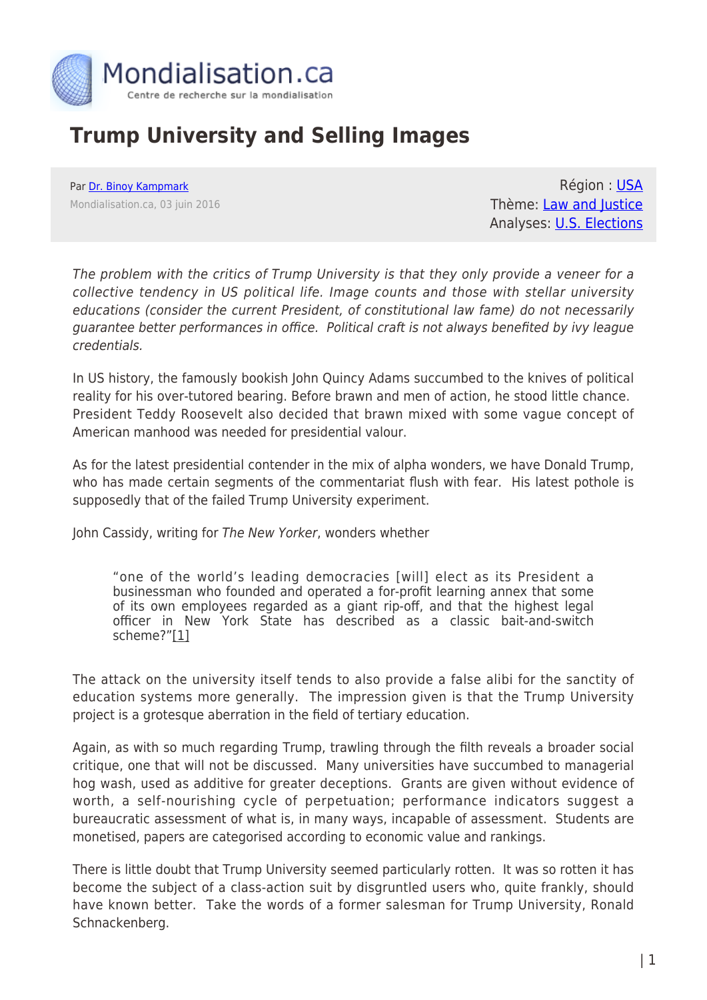

## **Trump University and Selling Images**

Par [Dr. Binoy Kampmark](https://www.mondialisation.ca/author/binoy-kampmark) Mondialisation.ca, 03 juin 2016

Région : [USA](https://www.mondialisation.ca/region/usa) Thème: [Law and Justice](https://www.mondialisation.ca/theme/law-and-justice) Analyses: [U.S. Elections](https://www.mondialisation.ca/indepthreport/u-s-elections)

The problem with the critics of Trump University is that they only provide a veneer for a collective tendency in US political life. Image counts and those with stellar university educations (consider the current President, of constitutional law fame) do not necessarily guarantee better performances in office. Political craft is not always benefited by ivy league credentials.

In US history, the famously bookish John Quincy Adams succumbed to the knives of political reality for his over-tutored bearing. Before brawn and men of action, he stood little chance. President Teddy Roosevelt also decided that brawn mixed with some vague concept of American manhood was needed for presidential valour.

As for the latest presidential contender in the mix of alpha wonders, we have Donald Trump, who has made certain segments of the commentariat flush with fear. His latest pothole is supposedly that of the failed Trump University experiment.

John Cassidy, writing for The New Yorker, wonders whether

"one of the world's leading democracies [will] elect as its President a businessman who founded and operated a for-profit learning annex that some of its own employees regarded as a giant rip-off, and that the highest legal officer in New York State has described as a classic bait-and-switch scheme?"[1]

The attack on the university itself tends to also provide a false alibi for the sanctity of education systems more generally. The impression given is that the Trump University project is a grotesque aberration in the field of tertiary education.

Again, as with so much regarding Trump, trawling through the filth reveals a broader social critique, one that will not be discussed. Many universities have succumbed to managerial hog wash, used as additive for greater deceptions. Grants are given without evidence of worth, a self-nourishing cycle of perpetuation; performance indicators suggest a bureaucratic assessment of what is, in many ways, incapable of assessment. Students are monetised, papers are categorised according to economic value and rankings.

There is little doubt that Trump University seemed particularly rotten. It was so rotten it has become the subject of a class-action suit by disgruntled users who, quite frankly, should have known better. Take the words of a former salesman for Trump University, Ronald Schnackenberg.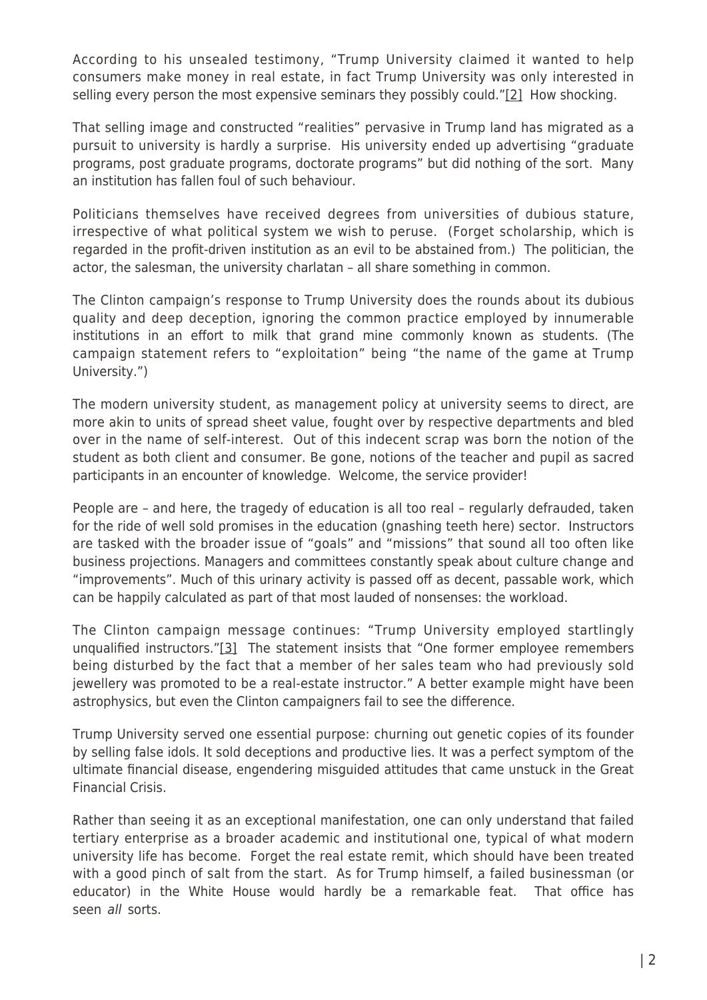According to his unsealed testimony, "Trump University claimed it wanted to help consumers make money in real estate, in fact Trump University was only interested in selling every person the most expensive seminars they possibly could."[2] How shocking.

That selling image and constructed "realities" pervasive in Trump land has migrated as a pursuit to university is hardly a surprise. His university ended up advertising "graduate programs, post graduate programs, doctorate programs" but did nothing of the sort. Many an institution has fallen foul of such behaviour.

Politicians themselves have received degrees from universities of dubious stature, irrespective of what political system we wish to peruse. (Forget scholarship, which is regarded in the profit-driven institution as an evil to be abstained from.) The politician, the actor, the salesman, the university charlatan – all share something in common.

The Clinton campaign's response to Trump University does the rounds about its dubious quality and deep deception, ignoring the common practice employed by innumerable institutions in an effort to milk that grand mine commonly known as students. (The campaign statement refers to "exploitation" being "the name of the game at Trump University.")

The modern university student, as management policy at university seems to direct, are more akin to units of spread sheet value, fought over by respective departments and bled over in the name of self-interest. Out of this indecent scrap was born the notion of the student as both client and consumer. Be gone, notions of the teacher and pupil as sacred participants in an encounter of knowledge. Welcome, the service provider!

People are – and here, the tragedy of education is all too real – regularly defrauded, taken for the ride of well sold promises in the education (gnashing teeth here) sector. Instructors are tasked with the broader issue of "goals" and "missions" that sound all too often like business projections. Managers and committees constantly speak about culture change and "improvements". Much of this urinary activity is passed off as decent, passable work, which can be happily calculated as part of that most lauded of nonsenses: the workload.

The Clinton campaign message continues: "Trump University employed startlingly unqualified instructors."[3] The statement insists that "One former employee remembers being disturbed by the fact that a member of her sales team who had previously sold jewellery was promoted to be a real-estate instructor." A better example might have been astrophysics, but even the Clinton campaigners fail to see the difference.

Trump University served one essential purpose: churning out genetic copies of its founder by selling false idols. It sold deceptions and productive lies. It was a perfect symptom of the ultimate financial disease, engendering misguided attitudes that came unstuck in the Great Financial Crisis.

Rather than seeing it as an exceptional manifestation, one can only understand that failed tertiary enterprise as a broader academic and institutional one, typical of what modern university life has become. Forget the real estate remit, which should have been treated with a good pinch of salt from the start. As for Trump himself, a failed businessman (or educator) in the White House would hardly be a remarkable feat. That office has seen all sorts.